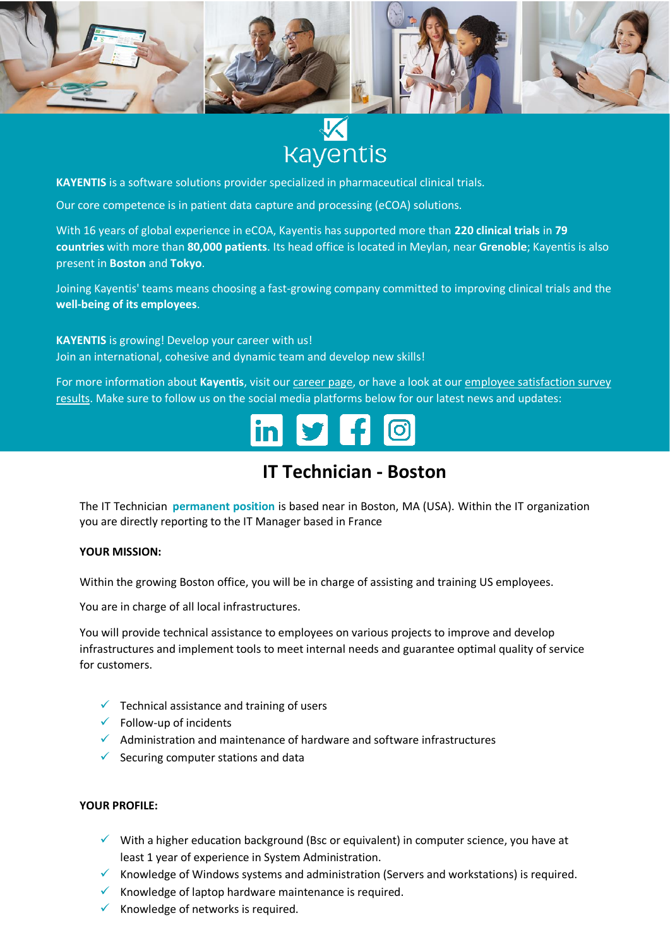

# **Kayentis**

**KAYENTIS** is a software solutions provider specialized in pharmaceutical clinical trials.

Our core competence is in patient data capture and processing (eCOA) solutions.

With 16 years of global experience in eCOA, Kayentis has supported more than **220 clinical trials** in **79 countries** with more than **80,000 patients**. Its head office is located in Meylan, near **Grenoble**; Kayentis is also present in **Boston** and **Tokyo**.

Joining Kayentis' teams means choosing a fast-growing company committed to improving clinical trials and the **well-being of its employees**.

**KAYENTIS** is growing! Develop your career with us! Join an international, cohesive and dynamic team and develop new skills!

For more information about **Kayentis**, visit ou[r career page,](https://kayentis.com/about-us/careers/) or have a look at our [employee satisfaction survey](https://kayentis.com/2019-employee-satisfaction-survey/)  [results.](https://kayentis.com/2019-employee-satisfaction-survey/) Make sure to follow us on the social media platforms below for our latest news and updates:



## **IT Technician - Boston**

The IT Technician **permanent position** is based near in Boston, MA (USA). Within the IT organization you are directly reporting to the IT Manager based in France

#### **YOUR MISSION:**

Within the growing Boston office, you will be in charge of assisting and training US employees.

You are in charge of all local infrastructures.

You will provide technical assistance to employees on various projects to improve and develop infrastructures and implement tools to meet internal needs and guarantee optimal quality of service for customers.

- $\checkmark$  Technical assistance and training of users
- $\checkmark$  Follow-up of incidents
- ✓ Administration and maintenance of hardware and software infrastructures
- $\checkmark$  Securing computer stations and data

#### **YOUR PROFILE:**

- $\checkmark$  With a higher education background (Bsc or equivalent) in computer science, you have at least 1 year of experience in System Administration.
- ✓ Knowledge of Windows systems and administration (Servers and workstations) is required.
- $\checkmark$  Knowledge of laptop hardware maintenance is required.
- $\checkmark$  Knowledge of networks is required.